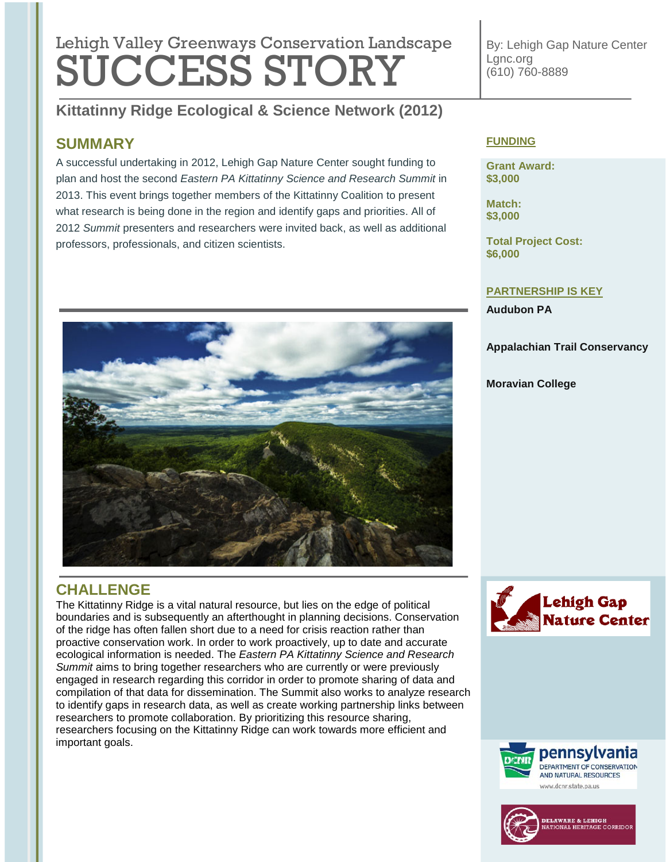# Lehigh Valley Greenways Conservation Landscape **SÜCCESS STORY**

**Kittatinny Ridge Ecological & Science Network (2012)**

# **SUMMARY**

A successful undertaking in 2012, Lehigh Gap Nature Center sought funding to plan and host the second *Eastern PA Kittatinny Science and Research Summit* in 2013. This event brings together members of the Kittatinny Coalition to present what research is being done in the region and identify gaps and priorities. All of 2012 *Summit* presenters and researchers were invited back, as well as additional professors, professionals, and citizen scientists.



**Grant Award: \$3,000**

**Match: \$3,000**

**Total Project Cost: \$6,000**

### **PARTNERSHIP IS KEY**

**Audubon PA**

**Appalachian Trail Conservancy**

### **Moravian College**



# **CHALLENGE**

The Kittatinny Ridge is a vital natural resource, but lies on the edge of political boundaries and is subsequently an afterthought in planning decisions. Conservation of the ridge has often fallen short due to a need for crisis reaction rather than proactive conservation work. In order to work proactively, up to date and accurate ecological information is needed. The *Eastern PA Kittatinny Science and Research Summit* aims to bring together researchers who are currently or were previously engaged in research regarding this corridor in order to promote sharing of data and compilation of that data for dissemination. The Summit also works to analyze research to identify gaps in research data, as well as create working partnership links between researchers to promote collaboration. By prioritizing this resource sharing, researchers focusing on the Kittatinny Ridge can work towards more efficient and important goals.







By: Lehigh Gap Nature Center Lgnc.org (610) 760-8889